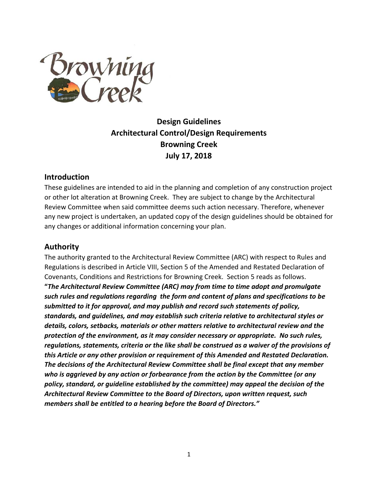

# **Design Guidelines Architectural Control/Design Requirements Browning Creek July 17, 2018**

#### **Introduction**

These guidelines are intended to aid in the planning and completion of any construction project or other lot alteration at Browning Creek. They are subject to change by the Architectural Review Committee when said committee deems such action necessary. Therefore, whenever any new project is undertaken, an updated copy of the design guidelines should be obtained for any changes or additional information concerning your plan.

#### **Authority**

The authority granted to the Architectural Review Committee (ARC) with respect to Rules and Regulations is described in Article VIII, Section 5 of the Amended and Restated Declaration of Covenants, Conditions and Restrictions for Browning Creek. Section 5 reads as follows. **"***The Architectural Review Committee (ARC) may from time to time adopt and promulgate such rules and regulations regarding the form and content of plans and specifications to be submitted to it for approval, and may publish and record such statements of policy, standards, and guidelines, and may establish such criteria relative to architectural styles or details, colors, setbacks, materials or other matters relative to architectural review and the protection of the environment, as it may consider necessary or appropriate. No such rules, regulations, statements, criteria or the like shall be construed as a waiver of the provisions of this Article or any other provision or requirement of this Amended and Restated Declaration. The decisions of the Architectural Review Committee shall be final except that any member who is aggrieved by any action or forbearance from the action by the Committee (or any policy, standard, or guideline established by the committee) may appeal the decision of the Architectural Review Committee to the Board of Directors, upon written request, such members shall be entitled to a hearing before the Board of Directors."*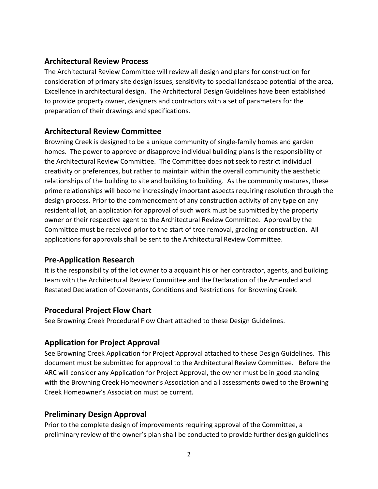#### **Architectural Review Process**

The Architectural Review Committee will review all design and plans for construction for consideration of primary site design issues, sensitivity to special landscape potential of the area, Excellence in architectural design. The Architectural Design Guidelines have been established to provide property owner, designers and contractors with a set of parameters for the preparation of their drawings and specifications.

## **Architectural Review Committee**

Browning Creek is designed to be a unique community of single-family homes and garden homes. The power to approve or disapprove individual building plans is the responsibility of the Architectural Review Committee. The Committee does not seek to restrict individual creativity or preferences, but rather to maintain within the overall community the aesthetic relationships of the building to site and building to building. As the community matures, these prime relationships will become increasingly important aspects requiring resolution through the design process. Prior to the commencement of any construction activity of any type on any residential lot, an application for approval of such work must be submitted by the property owner or their respective agent to the Architectural Review Committee. Approval by the Committee must be received prior to the start of tree removal, grading or construction. All applications for approvals shall be sent to the Architectural Review Committee.

## **Pre-Application Research**

It is the responsibility of the lot owner to a acquaint his or her contractor, agents, and building team with the Architectural Review Committee and the Declaration of the Amended and Restated Declaration of Covenants, Conditions and Restrictions for Browning Creek.

## **Procedural Project Flow Chart**

See Browning Creek Procedural Flow Chart attached to these Design Guidelines.

## **Application for Project Approval**

See Browning Creek Application for Project Approval attached to these Design Guidelines. This document must be submitted for approval to the Architectural Review Committee. Before the ARC will consider any Application for Project Approval, the owner must be in good standing with the Browning Creek Homeowner's Association and all assessments owed to the Browning Creek Homeowner's Association must be current.

## **Preliminary Design Approval**

Prior to the complete design of improvements requiring approval of the Committee, a preliminary review of the owner's plan shall be conducted to provide further design guidelines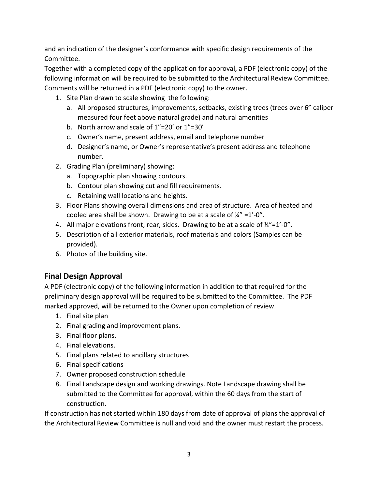and an indication of the designer's conformance with specific design requirements of the Committee.

Together with a completed copy of the application for approval, a PDF (electronic copy) of the following information will be required to be submitted to the Architectural Review Committee. Comments will be returned in a PDF (electronic copy) to the owner.

- 1. Site Plan drawn to scale showing the following:
	- a. All proposed structures, improvements, setbacks, existing trees (trees over 6" caliper measured four feet above natural grade) and natural amenities
	- b. North arrow and scale of 1"=20' or 1"=30'
	- c. Owner's name, present address, email and telephone number
	- d. Designer's name, or Owner's representative's present address and telephone number.
- 2. Grading Plan (preliminary) showing:
	- a. Topographic plan showing contours.
	- b. Contour plan showing cut and fill requirements.
	- c. Retaining wall locations and heights.
- 3. Floor Plans showing overall dimensions and area of structure. Area of heated and cooled area shall be shown. Drawing to be at a scale of  $\frac{1}{4}$ " =1'-0".
- 4. All major elevations front, rear, sides. Drawing to be at a scale of  $\frac{1}{4}$  =1'-0".
- 5. Description of all exterior materials, roof materials and colors (Samples can be provided).
- 6. Photos of the building site.

## **Final Design Approval**

A PDF (electronic copy) of the following information in addition to that required for the preliminary design approval will be required to be submitted to the Committee. The PDF marked approved, will be returned to the Owner upon completion of review.

- 1. Final site plan
- 2. Final grading and improvement plans.
- 3. Final floor plans.
- 4. Final elevations.
- 5. Final plans related to ancillary structures
- 6. Final specifications
- 7. Owner proposed construction schedule
- 8. Final Landscape design and working drawings. Note Landscape drawing shall be submitted to the Committee for approval, within the 60 days from the start of construction.

If construction has not started within 180 days from date of approval of plans the approval of the Architectural Review Committee is null and void and the owner must restart the process.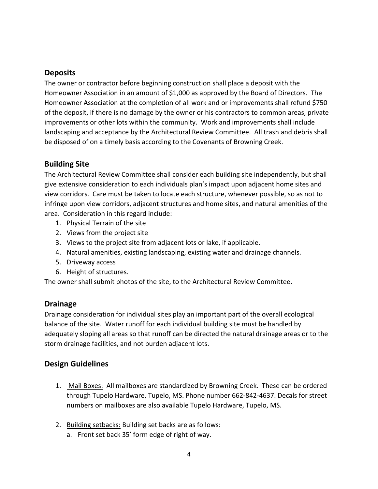## **Deposits**

The owner or contractor before beginning construction shall place a deposit with the Homeowner Association in an amount of \$1,000 as approved by the Board of Directors. The Homeowner Association at the completion of all work and or improvements shall refund \$750 of the deposit, if there is no damage by the owner or his contractors to common areas, private improvements or other lots within the community. Work and improvements shall include landscaping and acceptance by the Architectural Review Committee. All trash and debris shall be disposed of on a timely basis according to the Covenants of Browning Creek.

## **Building Site**

The Architectural Review Committee shall consider each building site independently, but shall give extensive consideration to each individuals plan's impact upon adjacent home sites and view corridors. Care must be taken to locate each structure, whenever possible, so as not to infringe upon view corridors, adjacent structures and home sites, and natural amenities of the area. Consideration in this regard include:

- 1. Physical Terrain of the site
- 2. Views from the project site
- 3. Views to the project site from adjacent lots or lake, if applicable.
- 4. Natural amenities, existing landscaping, existing water and drainage channels.
- 5. Driveway access
- 6. Height of structures.

The owner shall submit photos of the site, to the Architectural Review Committee.

#### **Drainage**

Drainage consideration for individual sites play an important part of the overall ecological balance of the site. Water runoff for each individual building site must be handled by adequately sloping all areas so that runoff can be directed the natural drainage areas or to the storm drainage facilities, and not burden adjacent lots.

## **Design Guidelines**

- 1. Mail Boxes: All mailboxes are standardized by Browning Creek. These can be ordered through Tupelo Hardware, Tupelo, MS. Phone number 662-842-4637. Decals for street numbers on mailboxes are also available Tupelo Hardware, Tupelo, MS.
- 2. Building setbacks: Building set backs are as follows:
	- a. Front set back 35' form edge of right of way.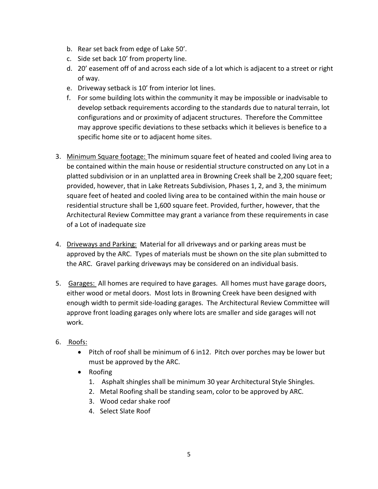- b. Rear set back from edge of Lake 50'.
- c. Side set back 10' from property line.
- d. 20' easement off of and across each side of a lot which is adjacent to a street or right of way.
- e. Driveway setback is 10' from interior lot lines.
- f. For some building lots within the community it may be impossible or inadvisable to develop setback requirements according to the standards due to natural terrain, lot configurations and or proximity of adjacent structures. Therefore the Committee may approve specific deviations to these setbacks which it believes is benefice to a specific home site or to adjacent home sites.
- 3. Minimum Square footage: The minimum square feet of heated and cooled living area to be contained within the main house or residential structure constructed on any Lot in a platted subdivision or in an unplatted area in Browning Creek shall be 2,200 square feet; provided, however, that in Lake Retreats Subdivision, Phases 1, 2, and 3, the minimum square feet of heated and cooled living area to be contained within the main house or residential structure shall be 1,600 square feet. Provided, further, however, that the Architectural Review Committee may grant a variance from these requirements in case of a Lot of inadequate size
- 4. Driveways and Parking: Material for all driveways and or parking areas must be approved by the ARC. Types of materials must be shown on the site plan submitted to the ARC. Gravel parking driveways may be considered on an individual basis.
- 5. Garages: All homes are required to have garages. All homes must have garage doors, either wood or metal doors. Most lots in Browning Creek have been designed with enough width to permit side-loading garages. The Architectural Review Committee will approve front loading garages only where lots are smaller and side garages will not work.

#### 6. Roofs:

- Pitch of roof shall be minimum of 6 in12. Pitch over porches may be lower but must be approved by the ARC.
- Roofing
	- 1. Asphalt shingles shall be minimum 30 year Architectural Style Shingles.
	- 2. Metal Roofing shall be standing seam, color to be approved by ARC.
	- 3. Wood cedar shake roof
	- 4. Select Slate Roof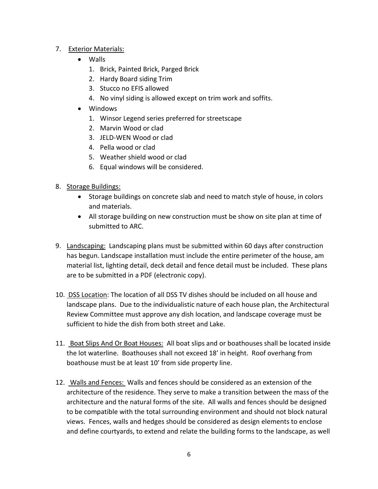#### 7. Exterior Materials:

- Walls
	- 1. Brick, Painted Brick, Parged Brick
	- 2. Hardy Board siding Trim
	- 3. Stucco no EFIS allowed
	- 4. No vinyl siding is allowed except on trim work and soffits.
- Windows
	- 1. Winsor Legend series preferred for streetscape
	- 2. Marvin Wood or clad
	- 3. JELD-WEN Wood or clad
	- 4. Pella wood or clad
	- 5. Weather shield wood or clad
	- 6. Equal windows will be considered.
- 8. Storage Buildings:
	- Storage buildings on concrete slab and need to match style of house, in colors and materials.
	- All storage building on new construction must be show on site plan at time of submitted to ARC.
- 9. Landscaping: Landscaping plans must be submitted within 60 days after construction has begun. Landscape installation must include the entire perimeter of the house, am material list, lighting detail, deck detail and fence detail must be included. These plans are to be submitted in a PDF (electronic copy).
- 10. DSS Location: The location of all DSS TV dishes should be included on all house and landscape plans. Due to the individualistic nature of each house plan, the Architectural Review Committee must approve any dish location, and landscape coverage must be sufficient to hide the dish from both street and Lake.
- 11. Boat Slips And Or Boat Houses: All boat slips and or boathouses shall be located inside the lot waterline. Boathouses shall not exceed 18' in height. Roof overhang from boathouse must be at least 10' from side property line.
- 12. Walls and Fences: Walls and fences should be considered as an extension of the architecture of the residence. They serve to make a transition between the mass of the architecture and the natural forms of the site. All walls and fences should be designed to be compatible with the total surrounding environment and should not block natural views. Fences, walls and hedges should be considered as design elements to enclose and define courtyards, to extend and relate the building forms to the landscape, as well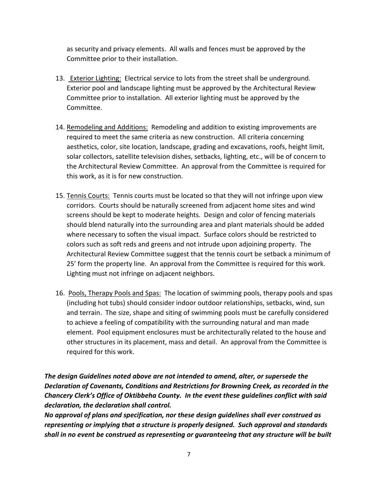as security and privacy elements. All walls and fences must be approved by the Committee prior to their installation.

- 13. Exterior Lighting: Electrical service to lots from the street shall be underground. Exterior pool and landscape lighting must be approved by the Architectural Review Committee prior to installation. All exterior lighting must be approved by the Committee.
- 14. Remodeling and Additions: Remodeling and addition to existing improvements are required to meet the same criteria as new construction. All criteria concerning aesthetics, color, site location, landscape, grading and excavations, roofs, height limit, solar collectors, satellite television dishes, setbacks, lighting, etc., will be of concern to the Architectural Review Committee. An approval from the Committee is required for this work, as it is for new construction.
- 15. Tennis Courts: Tennis courts must be located so that they will not infringe upon view corridors. Courts should be naturally screened from adjacent home sites and wind screens should be kept to moderate heights. Design and color of fencing materials should blend naturally into the surrounding area and plant materials should be added where necessary to soften the visual impact. Surface colors should be restricted to colors such as soft reds and greens and not intrude upon adjoining property. The Architectural Review Committee suggest that the tennis court be setback a minimum of 25' form the property line. An approval from the Committee is required for this work. Lighting must not infringe on adjacent neighbors.
- 16. Pools, Therapy Pools and Spas: The location of swimming pools, therapy pools and spas (including hot tubs) should consider indoor outdoor relationships, setbacks, wind, sun and terrain. The size, shape and siting of swimming pools must be carefully considered to achieve a feeling of compatibility with the surrounding natural and man made element. Pool equipment enclosures must be architecturally related to the house and other structures in its placement, mass and detail. An approval from the Committee is required for this work.

*The design Guidelines noted above are not intended to amend, alter, or supersede the Declaration of Covenants, Conditions and Restrictions for Browning Creek, as recorded in the Chancery Clerk's Office of Oktibbeha County. In the event these guidelines conflict with said declaration, the declaration shall control.*

*No approval of plans and specification, nor these design guidelines shall ever construed as representing or implying that a structure is properly designed. Such approval and standards shall in no event be construed as representing or guaranteeing that any structure will be built*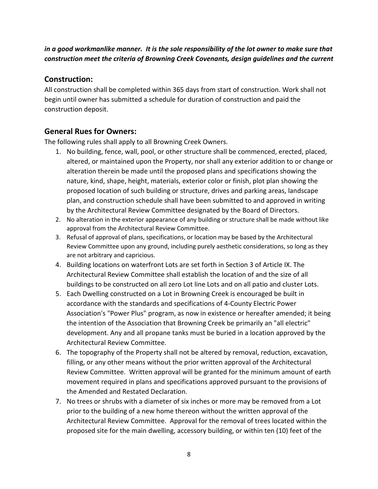#### *in a good workmanlike manner. It is the sole responsibility of the lot owner to make sure that construction meet the criteria of Browning Creek Covenants, design guidelines and the current*

#### **Construction:**

All construction shall be completed within 365 days from start of construction. Work shall not begin until owner has submitted a schedule for duration of construction and paid the construction deposit.

## **General Rues for Owners:**

The following rules shall apply to all Browning Creek Owners.

- 1. No building, fence, wall, pool, or other structure shall be commenced, erected, placed, altered, or maintained upon the Property, nor shall any exterior addition to or change or alteration therein be made until the proposed plans and specifications showing the nature, kind, shape, height, materials, exterior color or finish, plot plan showing the proposed location of such building or structure, drives and parking areas, landscape plan, and construction schedule shall have been submitted to and approved in writing by the Architectural Review Committee designated by the Board of Directors.
- 2. No alteration in the exterior appearance of any building or structure shall be made without like approval from the Architectural Review Committee.
- 3. Refusal of approval of plans, specifications, or location may be based by the Architectural Review Committee upon any ground, including purely aesthetic considerations, so long as they are not arbitrary and capricious.
- 4. Building locations on waterfront Lots are set forth in Section 3 of Article IX. The Architectural Review Committee shall establish the location of and the size of all buildings to be constructed on all zero Lot line Lots and on all patio and cluster Lots.
- 5. Each Dwelling constructed on a Lot in Browning Creek is encouraged be built in accordance with the standards and specifications of 4-County Electric Power Association's "Power Plus" program, as now in existence or hereafter amended; it being the intention of the Association that Browning Creek be primarily an "all electric" development. Any and all propane tanks must be buried in a location approved by the Architectural Review Committee.
- 6. The topography of the Property shall not be altered by removal, reduction, excavation, filling, or any other means without the prior written approval of the Architectural Review Committee. Written approval will be granted for the minimum amount of earth movement required in plans and specifications approved pursuant to the provisions of the Amended and Restated Declaration.
- 7. No trees or shrubs with a diameter of six inches or more may be removed from a Lot prior to the building of a new home thereon without the written approval of the Architectural Review Committee. Approval for the removal of trees located within the proposed site for the main dwelling, accessory building, or within ten (10) feet of the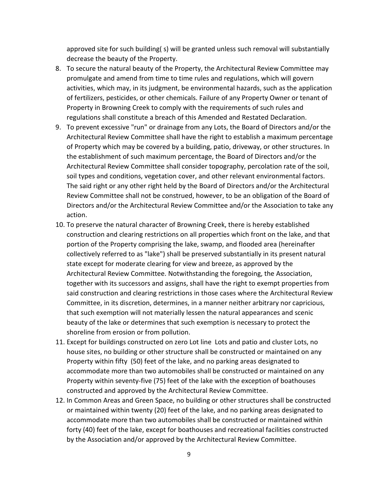approved site for such building( s) will be granted unless such removal will substantially decrease the beauty of the Property.

- 8. To secure the natural beauty of the Property, the Architectural Review Committee may promulgate and amend from time to time rules and regulations, which will govern activities, which may, in its judgment, be environmental hazards, such as the application of fertilizers, pesticides, or other chemicals. Failure of any Property Owner or tenant of Property in Browning Creek to comply with the requirements of such rules and regulations shall constitute a breach of this Amended and Restated Declaration.
- 9. To prevent excessive "run" or drainage from any Lots, the Board of Directors and/or the Architectural Review Committee shall have the right to establish a maximum percentage of Property which may be covered by a building, patio, driveway, or other structures. In the establishment of such maximum percentage, the Board of Directors and/or the Architectural Review Committee shall consider topography, percolation rate of the soil, soil types and conditions, vegetation cover, and other relevant environmental factors. The said right or any other right held by the Board of Directors and/or the Architectural Review Committee shall not be construed, however, to be an obligation of the Board of Directors and/or the Architectural Review Committee and/or the Association to take any action.
- 10. To preserve the natural character of Browning Creek, there is hereby established construction and clearing restrictions on all properties which front on the lake, and that portion of the Property comprising the lake, swamp, and flooded area (hereinafter collectively referred to as "lake") shall be preserved substantially in its present natural state except for moderate clearing for view and breeze, as approved by the Architectural Review Committee. Notwithstanding the foregoing, the Association, together with its successors and assigns, shall have the right to exempt properties from said construction and clearing restrictions in those cases where the Architectural Review Committee, in its discretion, determines, in a manner neither arbitrary nor capricious, that such exemption will not materially lessen the natural appearances and scenic beauty of the lake or determines that such exemption is necessary to protect the shoreline from erosion or from pollution.
- 11. Except for buildings constructed on zero Lot line Lots and patio and cluster Lots, no house sites, no building or other structure shall be constructed or maintained on any Property within fifty (50) feet of the lake, and no parking areas designated to accommodate more than two automobiles shall be constructed or maintained on any Property within seventy-five (75) feet of the lake with the exception of boathouses constructed and approved by the Architectural Review Committee.
- 12. In Common Areas and Green Space, no building or other structures shall be constructed or maintained within twenty (20) feet of the lake, and no parking areas designated to accommodate more than two automobiles shall be constructed or maintained within forty (40) feet of the lake, except for boathouses and recreational facilities constructed by the Association and/or approved by the Architectural Review Committee.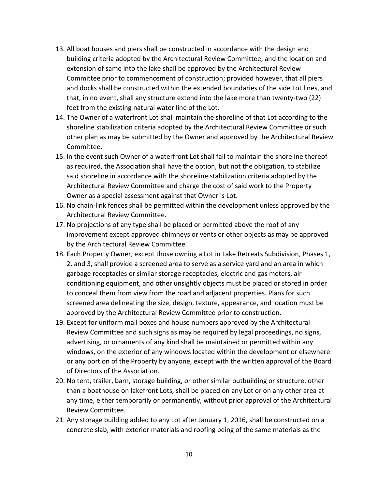- 13. All boat houses and piers shall be constructed in accordance with the design and building criteria adopted by the Architectural Review Committee, and the location and extension of same into the lake shall be approved by the Architectural Review Committee prior to commencement of construction; provided however, that all piers and docks shall be constructed within the extended boundaries of the side Lot lines, and that, in no event, shall any structure extend into the lake more than twenty-two (22) feet from the existing natural water line of the Lot.
- 14. The Owner of a waterfront Lot shall maintain the shoreline of that Lot according to the shoreline stabilization criteria adopted by the Architectural Review Committee or such other plan as may be submitted by the Owner and approved by the Architectural Review Committee.
- 15. In the event such Owner of a waterfront Lot shall fail to maintain the shoreline thereof as required, the Association shall have the option, but not the obligation, to stabilize said shoreline in accordance with the shoreline stabilization criteria adopted by the Architectural Review Committee and charge the cost of said work to the Property Owner as a special assessment against that Owner 's Lot.
- 16. No chain-link fences shall be permitted within the development unless approved by the Architectural Review Committee.
- 17. No projections of any type shall be placed or permitted above the roof of any improvement except approved chimneys or vents or other objects as may be approved by the Architectural Review Committee.
- 18. Each Property Owner, except those owning a Lot in Lake Retreats Subdivision, Phases 1, 2, and 3, shall provide a screened area to serve as a service yard and an area in which garbage receptacles or similar storage receptacles, electric and gas meters, air conditioning equipment, and other unsightly objects must be placed or stored in order to conceal them from view from the road and adjacent properties. Plans for such screened area delineating the size, design, texture, appearance, and location must be approved by the Architectural Review Committee prior to construction.
- 19. Except for uniform mail boxes and house numbers approved by the Architectural Review Committee and such signs as may be required by legal proceedings, no signs, advertising, or ornaments of any kind shall be maintained or permitted within any windows, on the exterior of any windows located within the development or elsewhere or any portion of the Property by anyone, except with the written approval of the Board of Directors of the Association.
- 20. No tent, trailer, barn, storage building, or other similar outbuilding or structure, other than a boathouse on lakefront Lots, shall be placed on any Lot or on any other area at any time, either temporarily or permanently, without prior approval of the Architectural Review Committee.
- 21. Any storage building added to any Lot after January 1, 2016, shall be constructed on a concrete slab, with exterior materials and roofing being of the same materials as the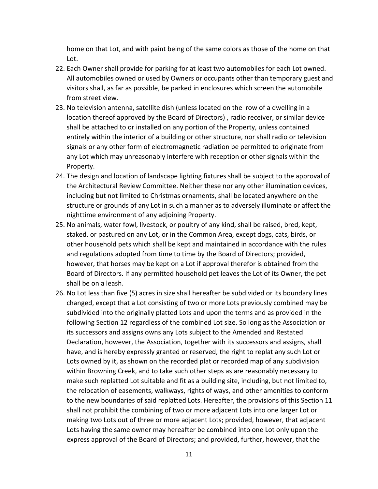home on that Lot, and with paint being of the same colors as those of the home on that Lot.

- 22. Each Owner shall provide for parking for at least two automobiles for each Lot owned. All automobiles owned or used by Owners or occupants other than temporary guest and visitors shall, as far as possible, be parked in enclosures which screen the automobile from street view.
- 23. No television antenna, satellite dish (unless located on the row of a dwelling in a location thereof approved by the Board of Directors) , radio receiver, or similar device shall be attached to or installed on any portion of the Property, unless contained entirely within the interior of a building or other structure, nor shall radio or television signals or any other form of electromagnetic radiation be permitted to originate from any Lot which may unreasonably interfere with reception or other signals within the Property.
- 24. The design and location of landscape lighting fixtures shall be subject to the approval of the Architectural Review Committee. Neither these nor any other illumination devices, including but not limited to Christmas ornaments, shall be located anywhere on the structure or grounds of any Lot in such a manner as to adversely illuminate or affect the nighttime environment of any adjoining Property.
- 25. No animals, water fowl, livestock, or poultry of any kind, shall be raised, bred, kept, staked, or pastured on any Lot, or in the Common Area, except dogs, cats, birds, or other household pets which shall be kept and maintained in accordance with the rules and regulations adopted from time to time by the Board of Directors; provided, however, that horses may be kept on a Lot if approval therefor is obtained from the Board of Directors. If any permitted household pet leaves the Lot of its Owner, the pet shall be on a leash.
- 26. No Lot less than five (5) acres in size shall hereafter be subdivided or its boundary lines changed, except that a Lot consisting of two or more Lots previously combined may be subdivided into the originally platted Lots and upon the terms and as provided in the following Section 12 regardless of the combined Lot size. So long as the Association or its successors and assigns owns any Lots subject to the Amended and Restated Declaration, however, the Association, together with its successors and assigns, shall have, and is hereby expressly granted or reserved, the right to replat any such Lot or Lots owned by it, as shown on the recorded plat or recorded map of any subdivision within Browning Creek, and to take such other steps as are reasonably necessary to make such replatted Lot suitable and fit as a building site, including, but not limited to, the relocation of easements, walkways, rights of ways, and other amenities to conform to the new boundaries of said replatted Lots. Hereafter, the provisions of this Section 11 shall not prohibit the combining of two or more adjacent Lots into one larger Lot or making two Lots out of three or more adjacent Lots; provided, however, that adjacent Lots having the same owner may hereafter be combined into one Lot only upon the express approval of the Board of Directors; and provided, further, however, that the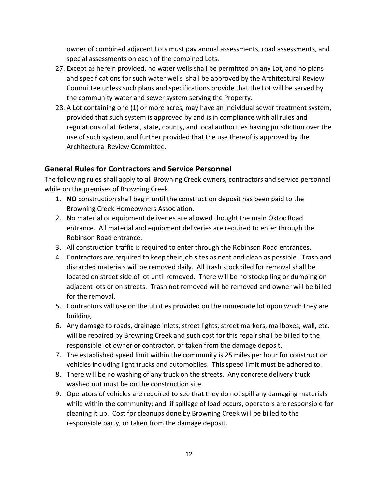owner of combined adjacent Lots must pay annual assessments, road assessments, and special assessments on each of the combined Lots.

- 27. Except as herein provided, no water wells shall be permitted on any Lot, and no plans and specifications for such water wells shall be approved by the Architectural Review Committee unless such plans and specifications provide that the Lot will be served by the community water and sewer system serving the Property.
- 28. A Lot containing one (1) or more acres, may have an individual sewer treatment system, provided that such system is approved by and is in compliance with all rules and regulations of all federal, state, county, and local authorities having jurisdiction over the use of such system, and further provided that the use thereof is approved by the Architectural Review Committee.

## **General Rules for Contractors and Service Personnel**

The following rules shall apply to all Browning Creek owners, contractors and service personnel while on the premises of Browning Creek.

- 1. **NO** construction shall begin until the construction deposit has been paid to the Browning Creek Homeowners Association.
- 2. No material or equipment deliveries are allowed thought the main Oktoc Road entrance. All material and equipment deliveries are required to enter through the Robinson Road entrance.
- 3. All construction traffic is required to enter through the Robinson Road entrances.
- 4. Contractors are required to keep their job sites as neat and clean as possible. Trash and discarded materials will be removed daily. All trash stockpiled for removal shall be located on street side of lot until removed. There will be no stockpiling or dumping on adjacent lots or on streets. Trash not removed will be removed and owner will be billed for the removal.
- 5. Contractors will use on the utilities provided on the immediate lot upon which they are building.
- 6. Any damage to roads, drainage inlets, street lights, street markers, mailboxes, wall, etc. will be repaired by Browning Creek and such cost for this repair shall be billed to the responsible lot owner or contractor, or taken from the damage deposit.
- 7. The established speed limit within the community is 25 miles per hour for construction vehicles including light trucks and automobiles. This speed limit must be adhered to.
- 8. There will be no washing of any truck on the streets. Any concrete delivery truck washed out must be on the construction site.
- 9. Operators of vehicles are required to see that they do not spill any damaging materials while within the community; and, if spillage of load occurs, operators are responsible for cleaning it up. Cost for cleanups done by Browning Creek will be billed to the responsible party, or taken from the damage deposit.